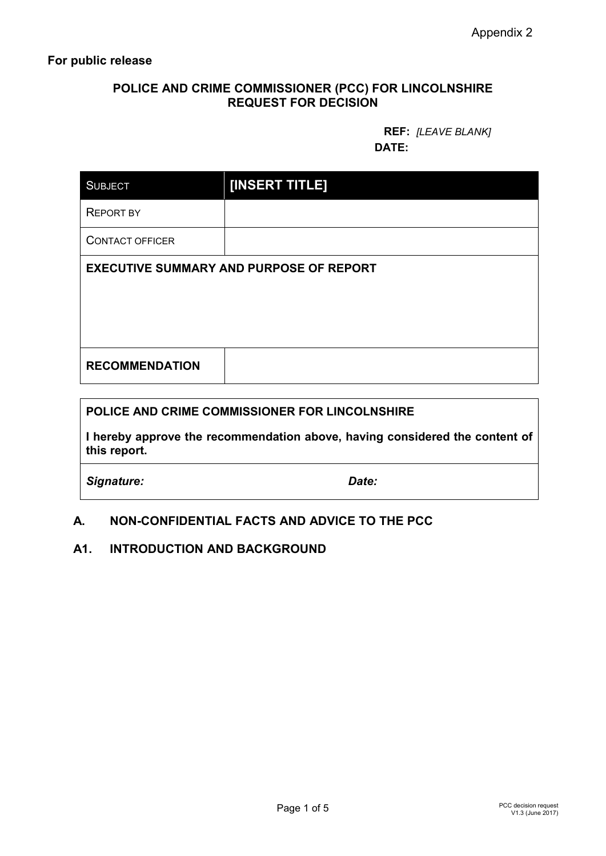# **POLICE AND CRIME COMMISSIONER (PCC) FOR LINCOLNSHIRE REQUEST FOR DECISION**

### **REF:** *[LEAVE BLANK]* **DATE:**

| <b>SUBJECT</b>                                 | [INSERT TITLE] |  |
|------------------------------------------------|----------------|--|
| <b>REPORT BY</b>                               |                |  |
| <b>CONTACT OFFICER</b>                         |                |  |
| <b>EXECUTIVE SUMMARY AND PURPOSE OF REPORT</b> |                |  |
| <b>RECOMMENDATION</b>                          |                |  |

## **POLICE AND CRIME COMMISSIONER FOR LINCOLNSHIRE**

**I hereby approve the recommendation above, having considered the content of this report.**

*Signature: Date:*

# **A. NON-CONFIDENTIAL FACTS AND ADVICE TO THE PCC**

## **A1. INTRODUCTION AND BACKGROUND**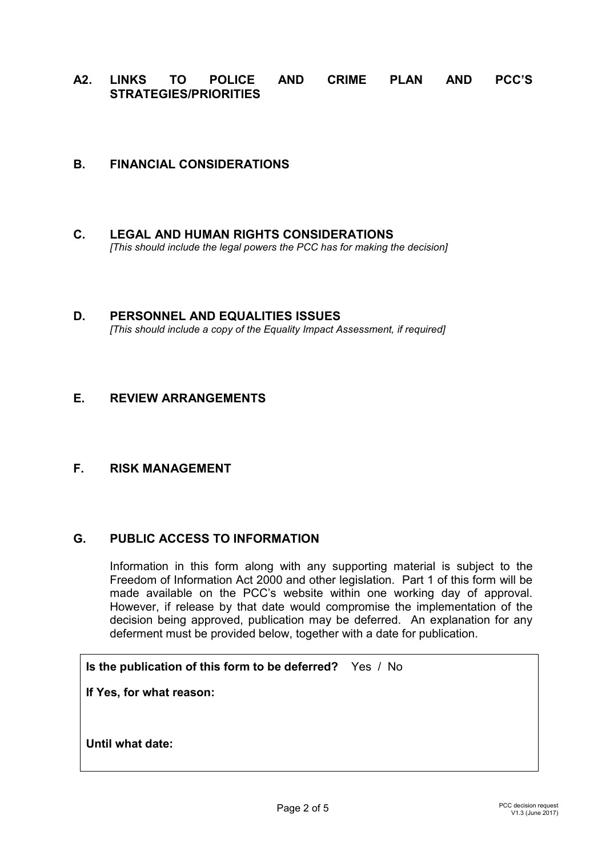**A2. LINKS TO POLICE AND CRIME PLAN AND PCC'S STRATEGIES/PRIORITIES**

## **B. FINANCIAL CONSIDERATIONS**

- **C. LEGAL AND HUMAN RIGHTS CONSIDERATIONS** *[This should include the legal powers the PCC has for making the decision]*
- **D. PERSONNEL AND EQUALITIES ISSUES** *[This should include a copy of the Equality Impact Assessment, if required]*

#### **E. REVIEW ARRANGEMENTS**

# **F. RISK MANAGEMENT**

#### **G. PUBLIC ACCESS TO INFORMATION**

Information in this form along with any supporting material is subject to the Freedom of Information Act 2000 and other legislation. Part 1 of this form will be made available on the PCC's website within one working day of approval. However, if release by that date would compromise the implementation of the decision being approved, publication may be deferred. An explanation for any deferment must be provided below, together with a date for publication.

**Is the publication of this form to be deferred?** Yes / No

**If Yes, for what reason:**

**Until what date:**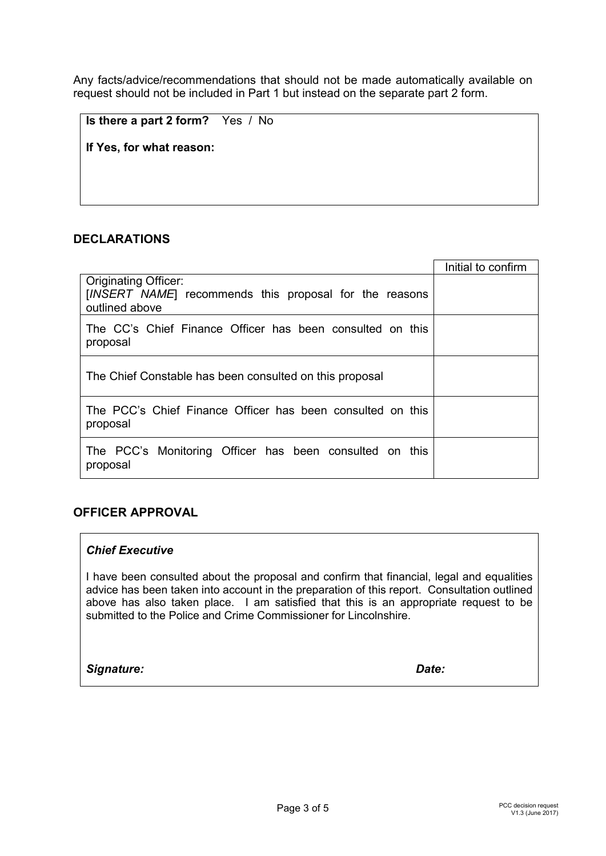Any facts/advice/recommendations that should not be made automatically available on request should not be included in Part 1 but instead on the separate part 2 form.

**Is there a part 2 form?** Yes / No

**If Yes, for what reason:**

## **DECLARATIONS**

|                                                                                       | Initial to confirm |
|---------------------------------------------------------------------------------------|--------------------|
| <b>Originating Officer:</b><br>[INSERT NAME] recommends this proposal for the reasons |                    |
| outlined above                                                                        |                    |
| The CC's Chief Finance Officer has been consulted on this<br>proposal                 |                    |
| The Chief Constable has been consulted on this proposal                               |                    |
| The PCC's Chief Finance Officer has been consulted on this<br>proposal                |                    |
| The PCC's Monitoring Officer has been consulted on this<br>proposal                   |                    |

## **OFFICER APPROVAL**

#### *Chief Executive*

I have been consulted about the proposal and confirm that financial, legal and equalities advice has been taken into account in the preparation of this report. Consultation outlined above has also taken place. I am satisfied that this is an appropriate request to be submitted to the Police and Crime Commissioner for Lincolnshire.

#### *Signature: Date:*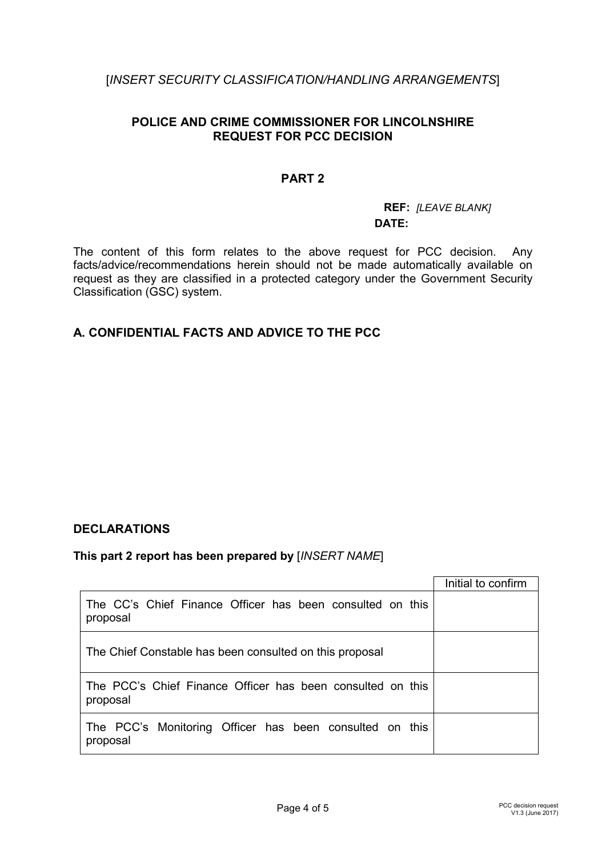# [*INSERT SECURITY CLASSIFICATION/HANDLING ARRANGEMENTS*]

# **POLICE AND CRIME COMMISSIONER FOR LINCOLNSHIRE REQUEST FOR PCC DECISION**

## **PART 2**

### **REF:** *[LEAVE BLANK]* **DATE:**

The content of this form relates to the above request for PCC decision. Any facts/advice/recommendations herein should not be made automatically available on request as they are classified in a protected category under the Government Security Classification (GSC) system.

# **A. CONFIDENTIAL FACTS AND ADVICE TO THE PCC**

## **DECLARATIONS**

## **This part 2 report has been prepared by** [*INSERT NAME*]

|                                                                        | Initial to confirm |
|------------------------------------------------------------------------|--------------------|
| The CC's Chief Finance Officer has been consulted on this<br>proposal  |                    |
| The Chief Constable has been consulted on this proposal                |                    |
| The PCC's Chief Finance Officer has been consulted on this<br>proposal |                    |
| The PCC's Monitoring Officer has been consulted on this<br>proposal    |                    |